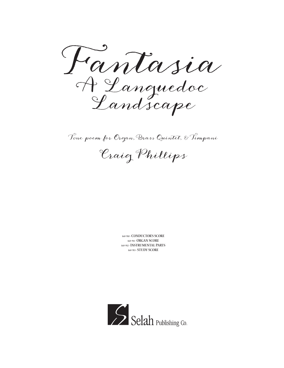Fantasia A Languedoc Landscape

Tone poem for Organ, Brass Quintet, & Timpani

## Craig Phillips

160-910 · CONDUCTOR'S SCORE 160-911 · ORGAN SCORE 160-912 · INSTRUMENTAL PARTS 160-913 · STUDY SCORE

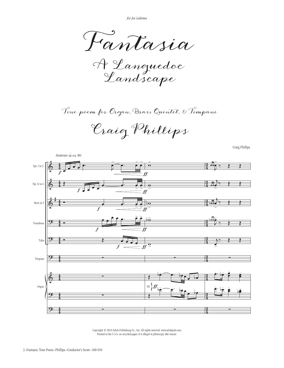*for Joe Galema*

 $\Gamma$ a la provincia de la contradición de la contradición de la contradición de la contradición de la contradición e<br>La contradición de la contradición de la contradición de la contradición de la contradición de la contradición Fantasia

H Languedoc Landscape

Tone poem for Organ, Brass Quintet, & Timpani<br>.

Craig Phillips

Craig Phillips



Copyright © 2014 Selah Publishing Co., Inc. All rights reserved. www.selahpub.com Printed in the U.S.A. on recycled paper. *It is illegal to photocopy this music.*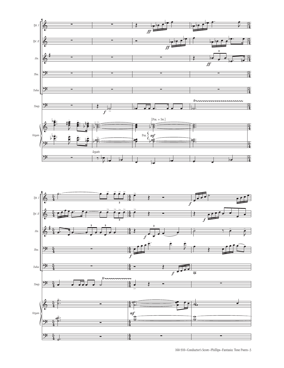



160-910–Conductor's Score–Phillips–Fantasia: Tone Poem–3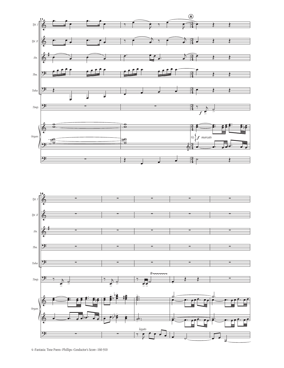



4–Fantasia: Tone Poem–Phillips–Conductor's Score–160-910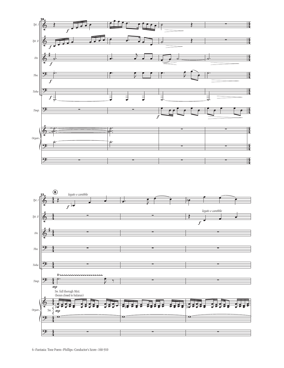

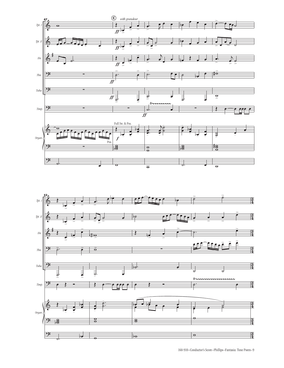

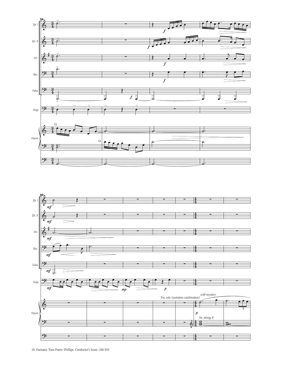

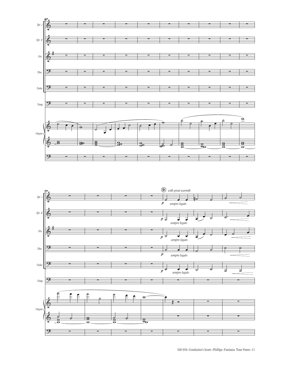

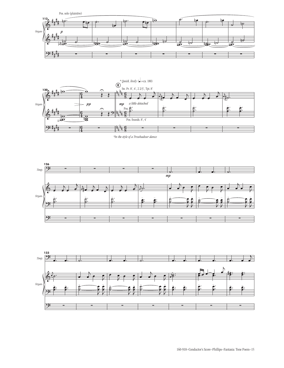



*\*In the style of a Troubadour dance*



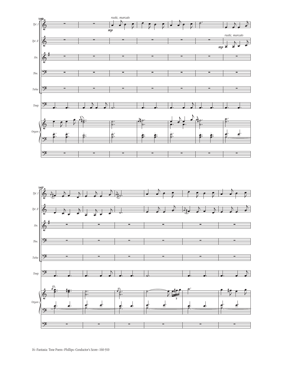

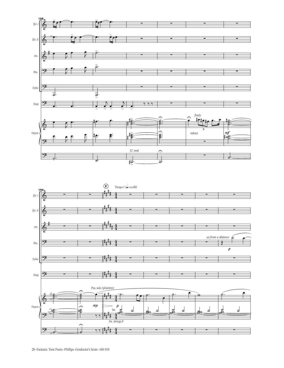

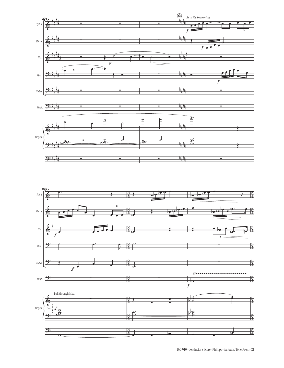



160-910–Conductor's Score–Phillips–Fantasia: Tone Poem–21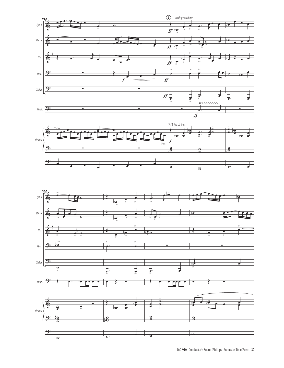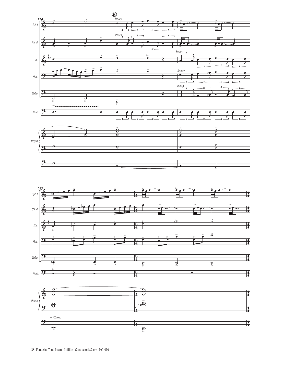